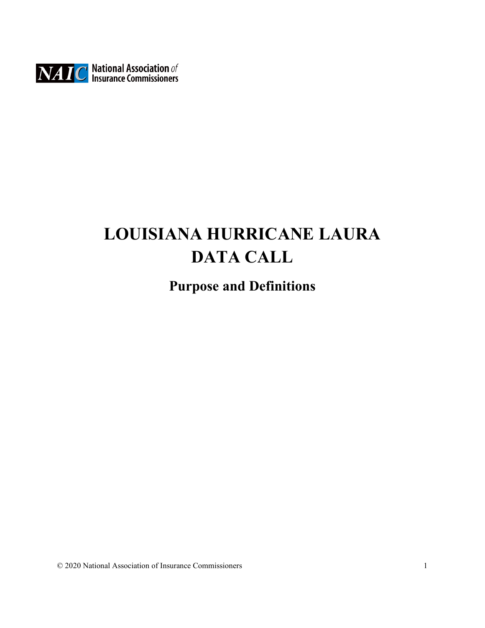

## **LOUISIANA HURRICANE LAURA DATA CALL**

## **Purpose and Definitions**

© 2020 National Association of Insurance Commissioners 1